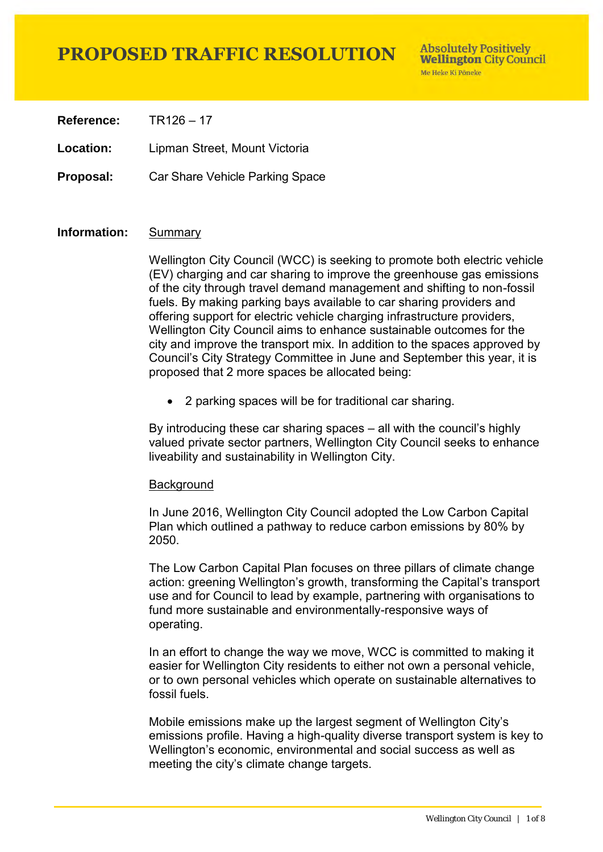**Reference:** TR126 – 17

**Location:** Lipman Street, Mount Victoria

**Proposal:** Car Share Vehicle Parking Space

### **Information:** Summary

Wellington City Council (WCC) is seeking to promote both electric vehicle (EV) charging and car sharing to improve the greenhouse gas emissions of the city through travel demand management and shifting to non-fossil fuels. By making parking bays available to car sharing providers and offering support for electric vehicle charging infrastructure providers, Wellington City Council aims to enhance sustainable outcomes for the city and improve the transport mix. In addition to the spaces approved by Council's City Strategy Committee in June and September this year, it is proposed that 2 more spaces be allocated being:

2 parking spaces will be for traditional car sharing.

By introducing these car sharing spaces – all with the council's highly valued private sector partners, Wellington City Council seeks to enhance liveability and sustainability in Wellington City.

#### **Background**

In June 2016, Wellington City Council adopted the Low Carbon Capital Plan which outlined a pathway to reduce carbon emissions by 80% by 2050.

The Low Carbon Capital Plan focuses on three pillars of climate change action: greening Wellington's growth, transforming the Capital's transport use and for Council to lead by example, partnering with organisations to fund more sustainable and environmentally-responsive ways of operating.

In an effort to change the way we move, WCC is committed to making it easier for Wellington City residents to either not own a personal vehicle, or to own personal vehicles which operate on sustainable alternatives to fossil fuels.

Mobile emissions make up the largest segment of Wellington City's emissions profile. Having a high-quality diverse transport system is key to Wellington's economic, environmental and social success as well as meeting the city's climate change targets.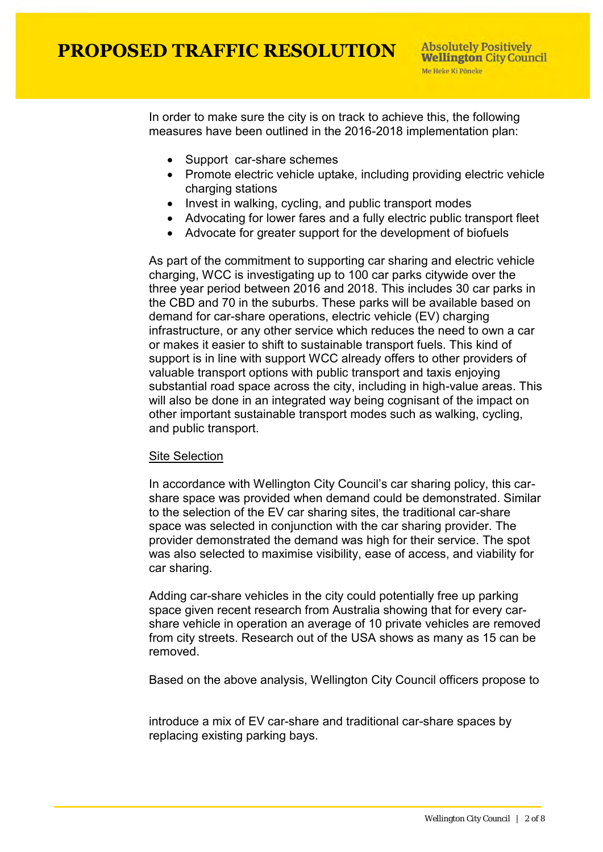In order to make sure the city is on track to achieve this, the following measures have been outlined in the 2016-2018 implementation plan:

- Support car-share schemes
- Promote electric vehicle uptake, including providing electric vehicle charging stations
- Invest in walking, cycling, and public transport modes
- Advocating for lower fares and a fully electric public transport fleet
- Advocate for greater support for the development of biofuels

As part of the commitment to supporting car sharing and electric vehicle charging, WCC is investigating up to 100 car parks citywide over the three year period between 2016 and 2018. This includes 30 car parks in the CBD and 70 in the suburbs. These parks will be available based on demand for car-share operations, electric vehicle (EV) charging infrastructure, or any other service which reduces the need to own a car or makes it easier to shift to sustainable transport fuels. This kind of support is in line with support WCC already offers to other providers of valuable transport options with public transport and taxis enjoying substantial road space across the city, including in high-value areas. This will also be done in an integrated way being cognisant of the impact on other important sustainable transport modes such as walking, cycling, and public transport.

### Site Selection

In accordance with Wellington City Council's car sharing policy, this carshare space was provided when demand could be demonstrated. Similar to the selection of the EV car sharing sites, the traditional car-share space was selected in conjunction with the car sharing provider. The provider demonstrated the demand was high for their service. The spot was also selected to maximise visibility, ease of access, and viability for car sharing.

Adding car-share vehicles in the city could potentially free up parking space given recent research from Australia showing that for every carshare vehicle in operation an average of 10 private vehicles are removed from city streets. Research out of the USA shows as many as 15 can be removed.

Based on the above analysis, Wellington City Council officers propose to

introduce a mix of EV car-share and traditional car-share spaces by replacing existing parking bays.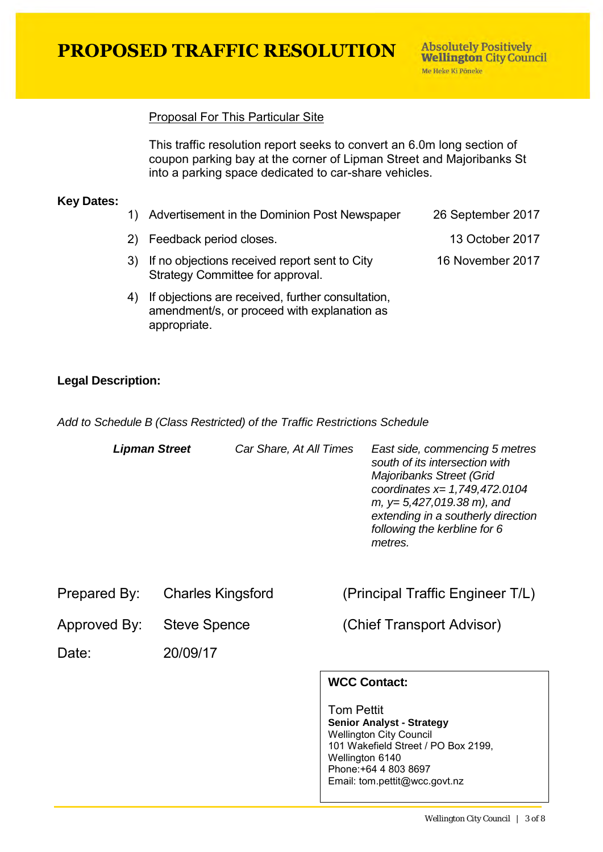**PROPOSED TRAFFIC RESOLUTION** 

16 November 2017

## Proposal For This Particular Site

This traffic resolution report seeks to convert an 6.0m long section of coupon parking bay at the corner of Lipman Street and Majoribanks St into a parking space dedicated to car-share vehicles.

#### **Key Dates:**

- 1) Advertisement in the Dominion Post Newspaper 26 September 2017
- 2) Feedback period closes. 13 October 2017
- 3) If no objections received report sent to City Strategy Committee for approval.
- 4) If objections are received, further consultation, amendment/s, or proceed with explanation as appropriate.

## **Legal Description:**

*Add to Schedule B (Class Restricted) of the Traffic Restrictions Schedule* 

| <b>Lipman Street</b> |                          | Car Share, At All Times | East side, commencing 5 metres<br>south of its intersection with<br>Majoribanks Street (Grid<br>coordinates $x=1,749,472.0104$<br>$m, y=5,427,019.38 \ m)$ , and<br>extending in a southerly direction<br>following the kerbline for 6<br>metres. |
|----------------------|--------------------------|-------------------------|---------------------------------------------------------------------------------------------------------------------------------------------------------------------------------------------------------------------------------------------------|
| Prepared By:         | <b>Charles Kingsford</b> |                         | (Principal Traffic Engineer T/L)                                                                                                                                                                                                                  |
| Approved By:         | <b>Steve Spence</b>      |                         | (Chief Transport Advisor)                                                                                                                                                                                                                         |
| Date:                | 20/09/17                 |                         |                                                                                                                                                                                                                                                   |

# **WCC Contact:**

Tom Pettit **Senior Analyst - Strategy** Wellington City Council 101 Wakefield Street / PO Box 2199, Wellington 6140 Phone:+64 4 803 8697 Email: tom.pettit@wcc.govt.nz